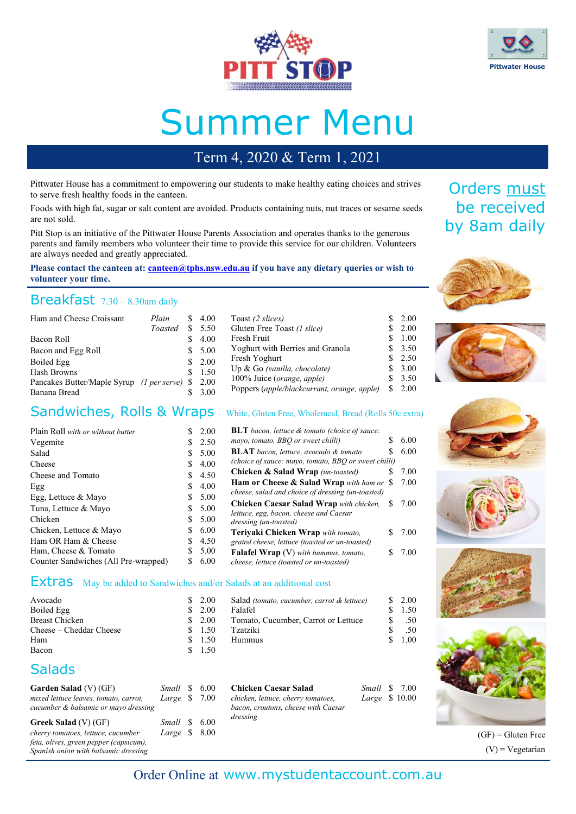



# Summer Menu

### Term 4, 2020 & Term 1, 2021

Pittwater House has a commitment to empowering our students to make healthy eating choices and strives to serve fresh healthy foods in the canteen.

Foods with high fat, sugar or salt content are avoided. Products containing nuts, nut traces or sesame seeds are not sold.

Pitt Stop is an initiative of the Pittwater House Parents Association and operates thanks to the generous parents and family members who volunteer their time to provide this service for our children. Volunteers are always needed and greatly appreciated.

#### **Please contact the canteen at: [canteen@tphs.nsw.edu.au](mailto:canteen@tphs.nsw.edu.au) if you have any dietary queries or wish to volunteer your time.**

#### Breakfast 7.30 – 8.30am daily

| Ham and Cheese Croissant                                     | Plain   | S. | 4.00           | Toast (2 slices)                                                          | \$2.00           |
|--------------------------------------------------------------|---------|----|----------------|---------------------------------------------------------------------------|------------------|
|                                                              | Toasted |    | 5.50           | Gluten Free Toast (1 slice)                                               | \$2.00           |
| Bacon Roll                                                   |         |    | 4.00           | Fresh Fruit                                                               | \$1.00           |
| Bacon and Egg Roll                                           |         | S. | 5.00           | Yoghurt with Berries and Granola                                          | \$3.50           |
| Boiled Egg<br>Hash Browns                                    |         | S. | \$2.00<br>1.50 | Fresh Yoghurt<br>Up & Go (vanilla, chocolate)                             | \$2.50<br>\$3.00 |
| Pancakes Butter/Maple Syrup (1 per serve) \$<br>Banana Bread |         |    | 2.00<br>3.00   | 100% Juice (orange, apple)<br>Poppers (apple/blackcurrant, orange, apple) | \$3.50<br>\$2.00 |

#### Sandwiches, Rolls & Wraps White, Gluten Free, Wholemeal, Bread (Rolls 50c extra)

|   | 2.00 | <b>BLT</b> bacon, lettuce & tomato (choice of sauce: |                                                                                                                                                                                                                                                                                                                |                                                                                                                                             |
|---|------|------------------------------------------------------|----------------------------------------------------------------------------------------------------------------------------------------------------------------------------------------------------------------------------------------------------------------------------------------------------------------|---------------------------------------------------------------------------------------------------------------------------------------------|
|   | 2.50 | mayo, tomato, BBQ or sweet chilli)                   |                                                                                                                                                                                                                                                                                                                | 6.00                                                                                                                                        |
|   | 5.00 | <b>BLAT</b> bacon, lettuce, avocado & tomato         |                                                                                                                                                                                                                                                                                                                | 6.00                                                                                                                                        |
| S | 4.00 |                                                      |                                                                                                                                                                                                                                                                                                                |                                                                                                                                             |
|   |      | <b>Chicken &amp; Salad Wrap</b> (un-toasted)         |                                                                                                                                                                                                                                                                                                                | 7.00                                                                                                                                        |
|   | 4.00 |                                                      |                                                                                                                                                                                                                                                                                                                | 7.00                                                                                                                                        |
|   | 5.00 |                                                      |                                                                                                                                                                                                                                                                                                                |                                                                                                                                             |
|   | 5.00 |                                                      |                                                                                                                                                                                                                                                                                                                | 7.00                                                                                                                                        |
|   | 5.00 |                                                      |                                                                                                                                                                                                                                                                                                                |                                                                                                                                             |
| S | 6.00 |                                                      |                                                                                                                                                                                                                                                                                                                | 7.00                                                                                                                                        |
|   | 4.50 |                                                      |                                                                                                                                                                                                                                                                                                                |                                                                                                                                             |
|   | 5.00 |                                                      |                                                                                                                                                                                                                                                                                                                | 7.00                                                                                                                                        |
| S | 6.00 | cheese, lettuce (toasted or un-toasted)              |                                                                                                                                                                                                                                                                                                                |                                                                                                                                             |
|   |      | 4.50                                                 | cheese, salad and choice of dressing (un-toasted)<br><b>Chicken Caesar Salad Wrap</b> with chicken,<br>lettuce, egg, bacon, cheese and Caesar<br>dressing (un-toasted)<br>Teriyaki Chicken Wrap with tomato,<br>grated cheese, lettuce (toasted or un-toasted)<br><b>Falafel Wrap</b> (V) with hummus, tomato, | S<br>S<br>(choice of sauce: mayo, tomato, BBQ or sweet chilli)<br>S<br><b>Ham or Cheese &amp; Salad Wrap</b> with ham or \$<br>S.<br>S<br>S |

#### **Extras** May be added to Sandwiches and/or Salads at an additional cost

| Avocado                 | S. | 2.00   | Salad (tomato, cucumber, carrot & lettuce) | 2.00     |
|-------------------------|----|--------|--------------------------------------------|----------|
| Boiled Egg              |    | 2.00   | Falafel                                    | l.50     |
| <b>Breast Chicken</b>   |    | \$2.00 | Tomato, Cucumber, Carrot or Lettuce        | .50      |
| Cheese – Cheddar Cheese |    | 1.50   | Tzatziki                                   | .50      |
| Ham                     |    | 1.50   | <b>Hummus</b>                              | $1.00\,$ |
| Bacon                   |    | 1.50   |                                            |          |

#### **Salads**

| Garden Salad (V) (GF)                                                         | Small \$ 6.00 |  |
|-------------------------------------------------------------------------------|---------------|--|
| mixed lettuce leaves, tomato, carrot,<br>cucumber & balsamic or mayo dressing | Large $$7.00$ |  |
| <b>Greek Salad</b> (V) (GF)                                                   | Small \$ 6.00 |  |
| cherry tomatoes, lettuce, cucumber                                            | Large $$8.00$ |  |
| feta, olives, green pepper (capsicum),                                        |               |  |
| Spanish onion with balsamic dressing                                          |               |  |

| <b>Chicken Caesar Salad</b>         | <i>Small</i> \$ 7.00 |  |
|-------------------------------------|----------------------|--|
| chicken, lettuce, cherry tomatoes,  | Large $$10.00$       |  |
| bacon, croutons, cheese with Caesar |                      |  |
| dressing                            |                      |  |

| <i>Small</i> \$ 7.00 |  |
|----------------------|--|
| Large \$ 10.00       |  |

### Orders must be received by 8am daily













 $(GF) = Gluten Free$  $(V)$  = Vegetarian